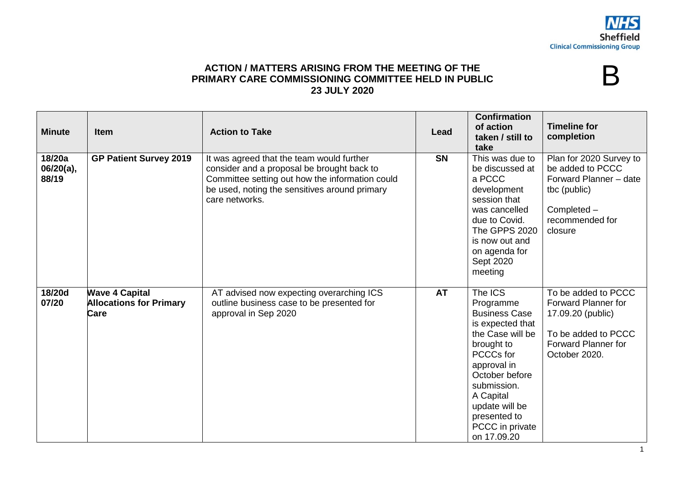B

## **ACTION / MATTERS ARISING FROM THE MEETING OF THE PRIMARY CARE COMMISSIONING COMMITTEE HELD IN PUBLIC 23 JULY 2020**

| <b>Minute</b>                | <b>Item</b>                                                     | <b>Action to Take</b>                                                                                                                                                                                         | Lead      | <b>Confirmation</b><br>of action<br>taken / still to<br>take                                                                                                                                                                                     | <b>Timeline for</b><br>completion                                                                                                     |
|------------------------------|-----------------------------------------------------------------|---------------------------------------------------------------------------------------------------------------------------------------------------------------------------------------------------------------|-----------|--------------------------------------------------------------------------------------------------------------------------------------------------------------------------------------------------------------------------------------------------|---------------------------------------------------------------------------------------------------------------------------------------|
| 18/20a<br>06/20(a),<br>88/19 | <b>GP Patient Survey 2019</b>                                   | It was agreed that the team would further<br>consider and a proposal be brought back to<br>Committee setting out how the information could<br>be used, noting the sensitives around primary<br>care networks. | <b>SN</b> | This was due to<br>be discussed at<br>a PCCC<br>development<br>session that<br>was cancelled<br>due to Covid.<br>The GPPS 2020<br>is now out and<br>on agenda for<br>Sept 2020<br>meeting                                                        | Plan for 2020 Survey to<br>be added to PCCC<br>Forward Planner - date<br>tbc (public)<br>Completed -<br>recommended for<br>closure    |
| 18/20d<br>07/20              | <b>Wave 4 Capital</b><br><b>Allocations for Primary</b><br>Care | AT advised now expecting overarching ICS<br>outline business case to be presented for<br>approval in Sep 2020                                                                                                 | <b>AT</b> | The ICS<br>Programme<br><b>Business Case</b><br>is expected that<br>the Case will be<br>brought to<br>PCCCs for<br>approval in<br>October before<br>submission.<br>A Capital<br>update will be<br>presented to<br>PCCC in private<br>on 17.09.20 | To be added to PCCC<br>Forward Planner for<br>17.09.20 (public)<br>To be added to PCCC<br><b>Forward Planner for</b><br>October 2020. |